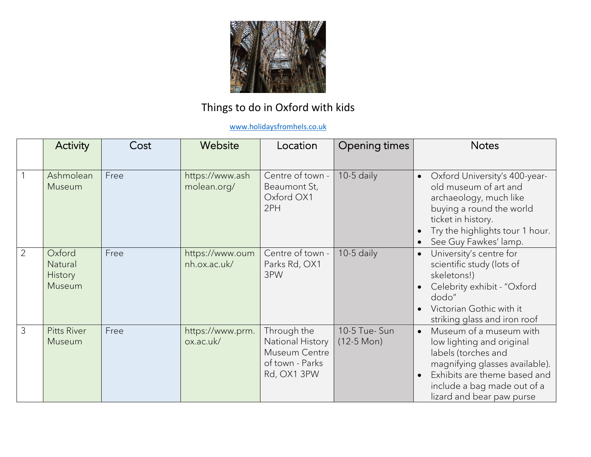

## Things to do in Oxford with kids

[www.holidaysfromhels.co.uk](http://www.holidaysfromhels.co.uk/)

|                | Activity                                      | Cost | Website                         | Location                                                                           | <b>Opening times</b>                  | <b>Notes</b>                                                                                                                                                                                                           |
|----------------|-----------------------------------------------|------|---------------------------------|------------------------------------------------------------------------------------|---------------------------------------|------------------------------------------------------------------------------------------------------------------------------------------------------------------------------------------------------------------------|
|                | Ashmolean<br>Museum                           | Free | https://www.ash<br>molean.org/  | Centre of town -<br>Beaumont St,<br>Oxford OX1<br>2PH                              | $10-5$ daily                          | Oxford University's 400-year-<br>$\bullet$<br>old museum of art and<br>archaeology, much like<br>buying a round the world<br>ticket in history.<br>Try the highlights tour 1 hour.<br>See Guy Fawkes' lamp.            |
| $\overline{2}$ | Oxford<br>Natural<br><b>History</b><br>Museum | Free | https://www.oum<br>nh.ox.ac.uk/ | Centre of town -<br>Parks Rd, OX1<br>3PW                                           | $10-5$ daily                          | University's centre for<br>scientific study (lots of<br>skeletons!)<br>Celebrity exhibit - "Oxford<br>dodo"<br>Victorian Gothic with it<br>striking glass and iron roof                                                |
| 3              | <b>Pitts River</b><br>Museum                  | Free | https://www.prm.<br>ox.ac.uk/   | Through the<br>National History<br>Museum Centre<br>of town - Parks<br>Rd, OX1 3PW | 10-5 Tue- Sun<br>$(12-5 \text{ Mon})$ | Museum of a museum with<br>$\bullet$<br>low lighting and original<br>labels (torches and<br>magnifying glasses available).<br>Exhibits are theme based and<br>include a bag made out of a<br>lizard and bear paw purse |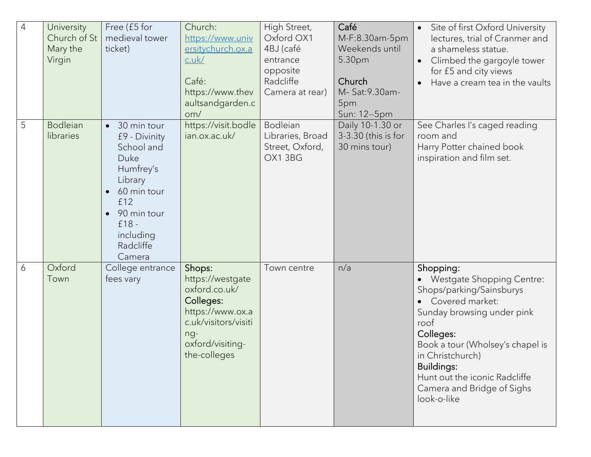| $\overline{4}$ | University<br>Church of St<br>Mary the<br>Virgin | Free (£5 for<br>medieval tower<br>ticket)                                                                                                                                | Church:<br>https://www.univ<br>ersitychurch.ox.a<br>c. uk/<br>Café:<br>https://www.thev<br>aultsandgarden.c<br>om/                              | High Street,<br>Oxford OX1<br>4BJ (café<br>entrance<br>opposite<br>Radcliffe<br>Camera at rear) | Café<br>M-F:8.30am-5pm<br>Weekends until<br>5.30pm<br>Church<br>M-Sat:9.30am-<br>5pm<br>Sun: 12--5pm | • Site of first Oxford University<br>lectures, trial of Cranmer and<br>a shameless statue.<br>Climbed the gargoyle tower<br>for £5 and city views<br>Have a cream tea in the vaults                                                                                                                        |
|----------------|--------------------------------------------------|--------------------------------------------------------------------------------------------------------------------------------------------------------------------------|-------------------------------------------------------------------------------------------------------------------------------------------------|-------------------------------------------------------------------------------------------------|------------------------------------------------------------------------------------------------------|------------------------------------------------------------------------------------------------------------------------------------------------------------------------------------------------------------------------------------------------------------------------------------------------------------|
| 5              | <b>Bodleian</b><br>libraries                     | $\bullet$ 30 min tour<br>£9 - Divinity<br>School and<br>Duke<br>Humfrey's<br>Library<br>60 min tour<br>£12<br>90 min tour<br>$£18 -$<br>including<br>Radcliffe<br>Camera | https://visit.bodle<br>ian.ox.ac.uk/                                                                                                            | Bodleian<br>Libraries, Broad<br>Street, Oxford,<br>OX13BG                                       | Daily 10-1.30 or<br>3-3.30 (this is for<br>30 mins tour)                                             | See Charles I's caged reading<br>room and<br>Harry Potter chained book<br>inspiration and film set.                                                                                                                                                                                                        |
| 6              | Oxford<br>Town                                   | College entrance<br>fees vary                                                                                                                                            | Shops:<br>https://westgate<br>oxford.co.uk/<br>Colleges:<br>https://www.ox.a<br>c.uk/visitors/visiti<br>ng-<br>oxford/visiting-<br>the-colleges | Town centre                                                                                     | n/a                                                                                                  | Shopping:<br><b>Westgate Shopping Centre:</b><br>Shops/parking/Sainsburys<br>Covered market:<br>Sunday browsing under pink<br>roof<br>Colleges:<br>Book a tour (Wholsey's chapel is<br>in Christchurch)<br><b>Buildings:</b><br>Hunt out the iconic Radcliffe<br>Camera and Bridge of Sighs<br>look-o-like |